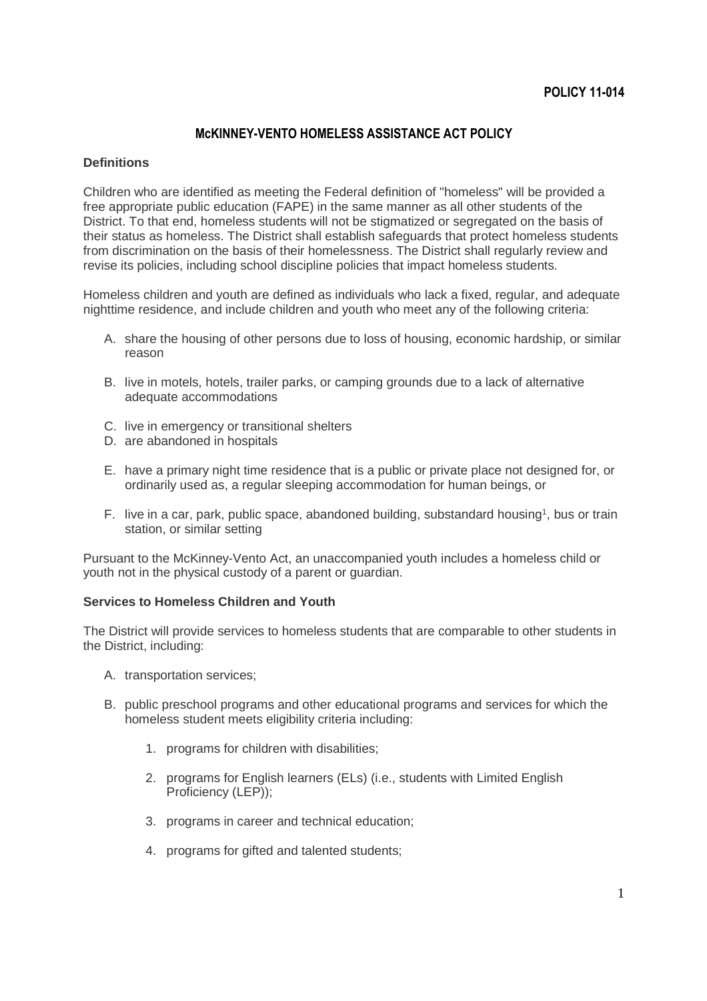# **McKINNEY-VENTO HOMELESS ASSISTANCE ACT POLICY**

#### **Definitions**

Children who are identified as meeting the Federal definition of "homeless" will be provided a free appropriate public education (FAPE) in the same manner as all other students of the District. To that end, homeless students will not be stigmatized or segregated on the basis of their status as homeless. The District shall establish safeguards that protect homeless students from discrimination on the basis of their homelessness. The District shall regularly review and revise its policies, including school discipline policies that impact homeless students.

Homeless children and youth are defined as individuals who lack a fixed, regular, and adequate nighttime residence, and include children and youth who meet any of the following criteria:

- A. share the housing of other persons due to loss of housing, economic hardship, or similar reason
- B. live in motels, hotels, trailer parks, or camping grounds due to a lack of alternative adequate accommodations
- C. live in emergency or transitional shelters
- D. are abandoned in hospitals
- E. have a primary night time residence that is a public or private place not designed for, or ordinarily used as, a regular sleeping accommodation for human beings, or
- F. live in a car, park, public space, abandoned building, substandard housing<sup>1</sup>, bus or train station, or similar setting

Pursuant to the McKinney-Vento Act, an unaccompanied youth includes a homeless child or youth not in the physical custody of a parent or guardian.

#### **Services to Homeless Children and Youth**

The District will provide services to homeless students that are comparable to other students in the District, including:

- A. transportation services;
- B. public preschool programs and other educational programs and services for which the homeless student meets eligibility criteria including:
	- 1. programs for children with disabilities;
	- 2. programs for English learners (ELs) (i.e., students with Limited English Proficiency (LEP));
	- 3. programs in career and technical education;
	- 4. programs for gifted and talented students;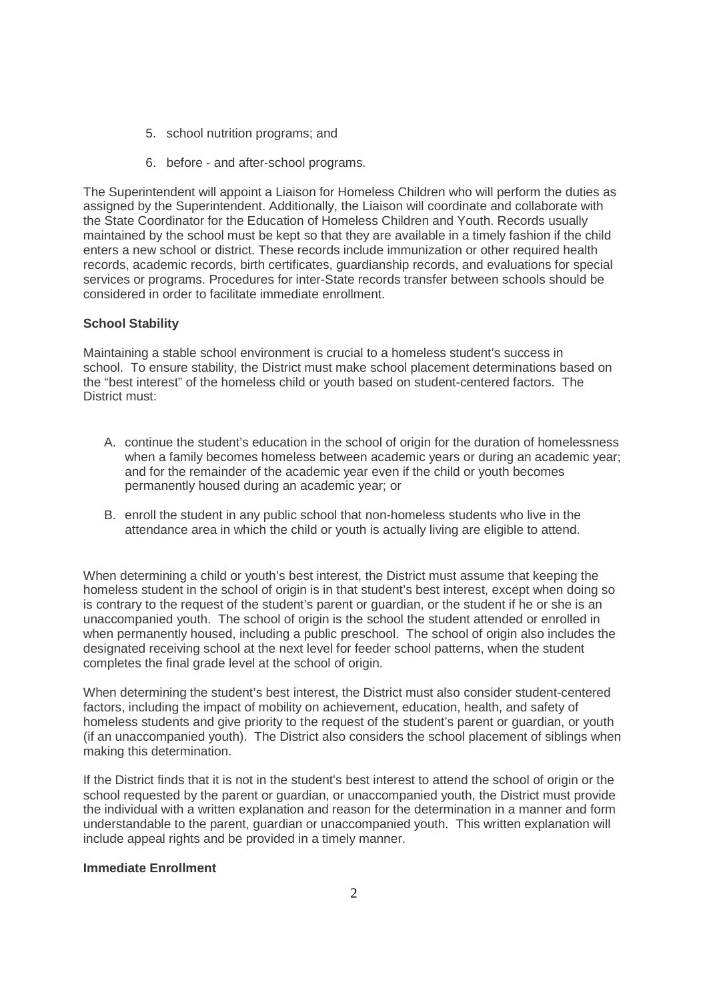- 5. school nutrition programs; and
- 6. before and after-school programs.

The Superintendent will appoint a Liaison for Homeless Children who will perform the duties as assigned by the Superintendent. Additionally, the Liaison will coordinate and collaborate with the State Coordinator for the Education of Homeless Children and Youth. Records usually maintained by the school must be kept so that they are available in a timely fashion if the child enters a new school or district. These records include immunization or other required health records, academic records, birth certificates, guardianship records, and evaluations for special services or programs. Procedures for inter-State records transfer between schools should be considered in order to facilitate immediate enrollment.

## **School Stability**

Maintaining a stable school environment is crucial to a homeless student's success in school. To ensure stability, the District must make school placement determinations based on the "best interest" of the homeless child or youth based on student-centered factors. The District must:

- A. continue the student's education in the school of origin for the duration of homelessness when a family becomes homeless between academic years or during an academic year; and for the remainder of the academic year even if the child or youth becomes permanently housed during an academic year; or
- B. enroll the student in any public school that non-homeless students who live in the attendance area in which the child or youth is actually living are eligible to attend.

When determining a child or youth's best interest, the District must assume that keeping the homeless student in the school of origin is in that student's best interest, except when doing so is contrary to the request of the student's parent or guardian, or the student if he or she is an unaccompanied youth. The school of origin is the school the student attended or enrolled in when permanently housed, including a public preschool. The school of origin also includes the designated receiving school at the next level for feeder school patterns, when the student completes the final grade level at the school of origin.

When determining the student's best interest, the District must also consider student-centered factors, including the impact of mobility on achievement, education, health, and safety of homeless students and give priority to the request of the student's parent or guardian, or youth (if an unaccompanied youth). The District also considers the school placement of siblings when making this determination.

If the District finds that it is not in the student's best interest to attend the school of origin or the school requested by the parent or guardian, or unaccompanied youth, the District must provide the individual with a written explanation and reason for the determination in a manner and form understandable to the parent, guardian or unaccompanied youth. This written explanation will include appeal rights and be provided in a timely manner.

### **Immediate Enrollment**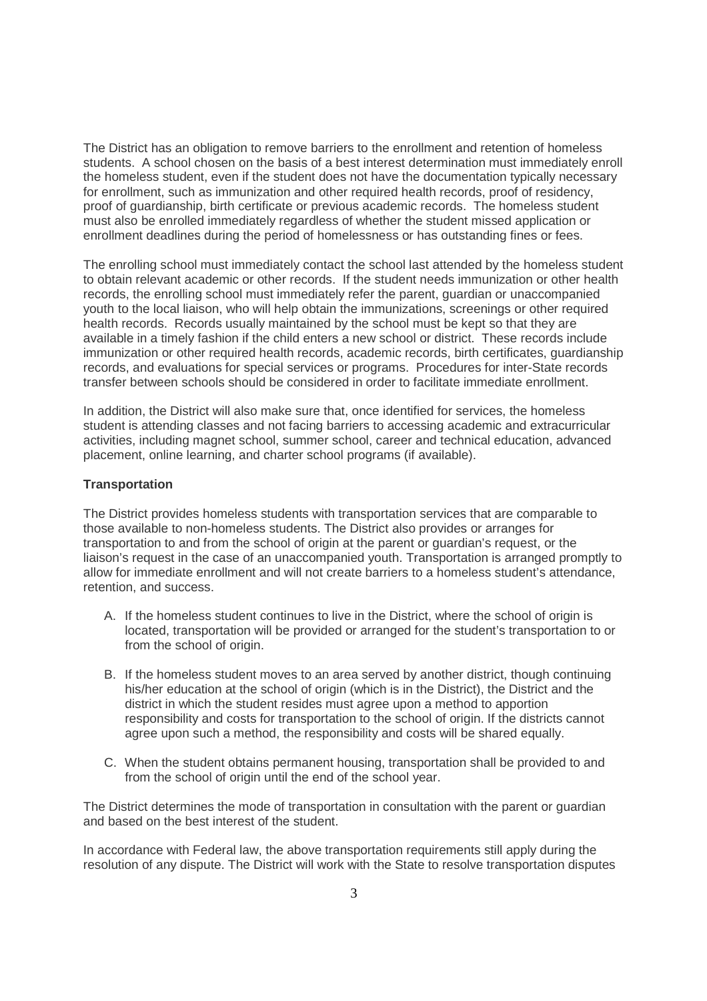The District has an obligation to remove barriers to the enrollment and retention of homeless students. A school chosen on the basis of a best interest determination must immediately enroll the homeless student, even if the student does not have the documentation typically necessary for enrollment, such as immunization and other required health records, proof of residency, proof of guardianship, birth certificate or previous academic records. The homeless student must also be enrolled immediately regardless of whether the student missed application or enrollment deadlines during the period of homelessness or has outstanding fines or fees.

The enrolling school must immediately contact the school last attended by the homeless student to obtain relevant academic or other records. If the student needs immunization or other health records, the enrolling school must immediately refer the parent, guardian or unaccompanied youth to the local liaison, who will help obtain the immunizations, screenings or other required health records. Records usually maintained by the school must be kept so that they are available in a timely fashion if the child enters a new school or district. These records include immunization or other required health records, academic records, birth certificates, guardianship records, and evaluations for special services or programs. Procedures for inter-State records transfer between schools should be considered in order to facilitate immediate enrollment.

In addition, the District will also make sure that, once identified for services, the homeless student is attending classes and not facing barriers to accessing academic and extracurricular activities, including magnet school, summer school, career and technical education, advanced placement, online learning, and charter school programs (if available).

#### **Transportation**

The District provides homeless students with transportation services that are comparable to those available to non-homeless students. The District also provides or arranges for transportation to and from the school of origin at the parent or guardian's request, or the liaison's request in the case of an unaccompanied youth. Transportation is arranged promptly to allow for immediate enrollment and will not create barriers to a homeless student's attendance, retention, and success.

- A. If the homeless student continues to live in the District, where the school of origin is located, transportation will be provided or arranged for the student's transportation to or from the school of origin.
- B. If the homeless student moves to an area served by another district, though continuing his/her education at the school of origin (which is in the District), the District and the district in which the student resides must agree upon a method to apportion responsibility and costs for transportation to the school of origin. If the districts cannot agree upon such a method, the responsibility and costs will be shared equally.
- C. When the student obtains permanent housing, transportation shall be provided to and from the school of origin until the end of the school year.

The District determines the mode of transportation in consultation with the parent or guardian and based on the best interest of the student.

In accordance with Federal law, the above transportation requirements still apply during the resolution of any dispute. The District will work with the State to resolve transportation disputes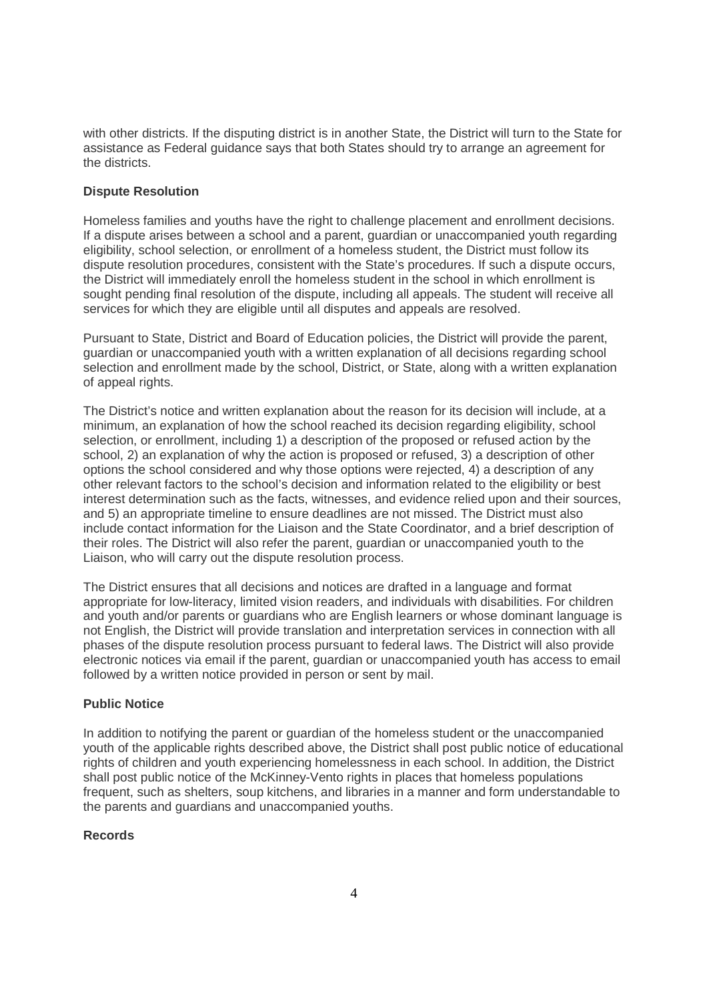with other districts. If the disputing district is in another State, the District will turn to the State for assistance as Federal guidance says that both States should try to arrange an agreement for the districts.

## **Dispute Resolution**

Homeless families and youths have the right to challenge placement and enrollment decisions. If a dispute arises between a school and a parent, guardian or unaccompanied youth regarding eligibility, school selection, or enrollment of a homeless student, the District must follow its dispute resolution procedures, consistent with the State's procedures. If such a dispute occurs, the District will immediately enroll the homeless student in the school in which enrollment is sought pending final resolution of the dispute, including all appeals. The student will receive all services for which they are eligible until all disputes and appeals are resolved.

Pursuant to State, District and Board of Education policies, the District will provide the parent, guardian or unaccompanied youth with a written explanation of all decisions regarding school selection and enrollment made by the school, District, or State, along with a written explanation of appeal rights.

The District's notice and written explanation about the reason for its decision will include, at a minimum, an explanation of how the school reached its decision regarding eligibility, school selection, or enrollment, including 1) a description of the proposed or refused action by the school, 2) an explanation of why the action is proposed or refused, 3) a description of other options the school considered and why those options were rejected, 4) a description of any other relevant factors to the school's decision and information related to the eligibility or best interest determination such as the facts, witnesses, and evidence relied upon and their sources, and 5) an appropriate timeline to ensure deadlines are not missed. The District must also include contact information for the Liaison and the State Coordinator, and a brief description of their roles. The District will also refer the parent, guardian or unaccompanied youth to the Liaison, who will carry out the dispute resolution process.

The District ensures that all decisions and notices are drafted in a language and format appropriate for low-literacy, limited vision readers, and individuals with disabilities. For children and youth and/or parents or guardians who are English learners or whose dominant language is not English, the District will provide translation and interpretation services in connection with all phases of the dispute resolution process pursuant to federal laws. The District will also provide electronic notices via email if the parent, guardian or unaccompanied youth has access to email followed by a written notice provided in person or sent by mail.

### **Public Notice**

In addition to notifying the parent or guardian of the homeless student or the unaccompanied youth of the applicable rights described above, the District shall post public notice of educational rights of children and youth experiencing homelessness in each school. In addition, the District shall post public notice of the McKinney-Vento rights in places that homeless populations frequent, such as shelters, soup kitchens, and libraries in a manner and form understandable to the parents and guardians and unaccompanied youths.

### **Records**